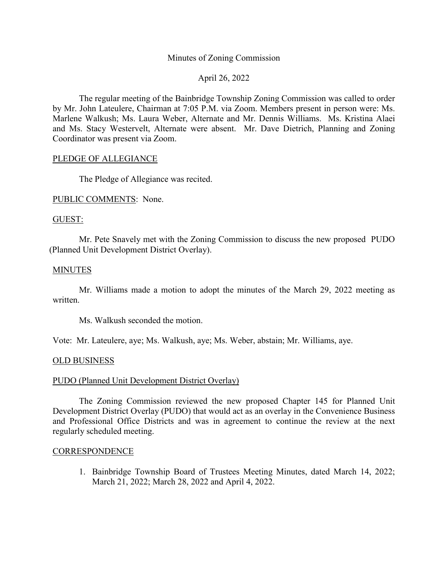# Minutes of Zoning Commission

# April 26, 2022

The regular meeting of the Bainbridge Township Zoning Commission was called to order by Mr. John Lateulere, Chairman at 7:05 P.M. via Zoom. Members present in person were: Ms. Marlene Walkush; Ms. Laura Weber, Alternate and Mr. Dennis Williams. Ms. Kristina Alaei and Ms. Stacy Westervelt, Alternate were absent. Mr. Dave Dietrich, Planning and Zoning Coordinator was present via Zoom.

### PLEDGE OF ALLEGIANCE

The Pledge of Allegiance was recited.

PUBLIC COMMENTS: None.

## GUEST:

Mr. Pete Snavely met with the Zoning Commission to discuss the new proposed PUDO (Planned Unit Development District Overlay).

### MINUTES

Mr. Williams made a motion to adopt the minutes of the March 29, 2022 meeting as written.

Ms. Walkush seconded the motion.

Vote: Mr. Lateulere, aye; Ms. Walkush, aye; Ms. Weber, abstain; Mr. Williams, aye.

### OLD BUSINESS

### PUDO (Planned Unit Development District Overlay)

The Zoning Commission reviewed the new proposed Chapter 145 for Planned Unit Development District Overlay (PUDO) that would act as an overlay in the Convenience Business and Professional Office Districts and was in agreement to continue the review at the next regularly scheduled meeting.

### **CORRESPONDENCE**

1. Bainbridge Township Board of Trustees Meeting Minutes, dated March 14, 2022; March 21, 2022; March 28, 2022 and April 4, 2022.